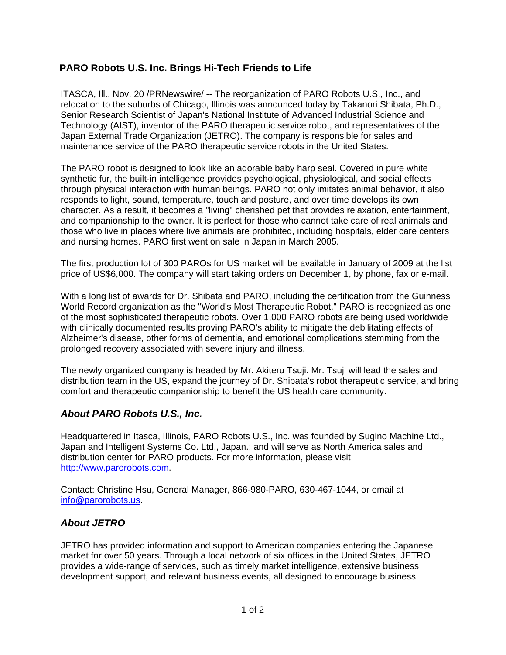## **PARO Robots U.S. Inc. Brings Hi-Tech Friends to Life**

ITASCA, Ill., Nov. 20 /PRNewswire/ -- The reorganization of PARO Robots U.S., Inc., and relocation to the suburbs of Chicago, Illinois was announced today by Takanori Shibata, Ph.D., Senior Research Scientist of Japan's National Institute of Advanced Industrial Science and Technology (AIST), inventor of the PARO therapeutic service robot, and representatives of the Japan External Trade Organization (JETRO). The company is responsible for sales and maintenance service of the PARO therapeutic service robots in the United States.

The PARO robot is designed to look like an adorable baby harp seal. Covered in pure white synthetic fur, the built-in intelligence provides psychological, physiological, and social effects through physical interaction with human beings. PARO not only imitates animal behavior, it also responds to light, sound, temperature, touch and posture, and over time develops its own character. As a result, it becomes a "living" cherished pet that provides relaxation, entertainment, and companionship to the owner. It is perfect for those who cannot take care of real animals and those who live in places where live animals are prohibited, including hospitals, elder care centers and nursing homes. PARO first went on sale in Japan in March 2005.

The first production lot of 300 PAROs for US market will be available in January of 2009 at the list price of US\$6,000. The company will start taking orders on December 1, by phone, fax or e-mail.

With a long list of awards for Dr. Shibata and PARO, including the certification from the Guinness World Record organization as the "World's Most Therapeutic Robot," PARO is recognized as one of the most sophisticated therapeutic robots. Over 1,000 PARO robots are being used worldwide with clinically documented results proving PARO's ability to mitigate the debilitating effects of Alzheimer's disease, other forms of dementia, and emotional complications stemming from the prolonged recovery associated with severe injury and illness.

The newly organized company is headed by Mr. Akiteru Tsuji. Mr. Tsuji will lead the sales and distribution team in the US, expand the journey of Dr. Shibata's robot therapeutic service, and bring comfort and therapeutic companionship to benefit the US health care community.

## *About PARO Robots U.S., Inc.*

Headquartered in Itasca, Illinois, PARO Robots U.S., Inc. was founded by Sugino Machine Ltd., Japan and Intelligent Systems Co. Ltd., Japan.; and will serve as North America sales and distribution center for PARO products. For more information, please visit http://www.parorobots.com.

Contact: Christine Hsu, General Manager, 866-980-PARO, 630-467-1044, or email at info@parorobots.us.

## *About JETRO*

JETRO has provided information and support to American companies entering the Japanese market for over 50 years. Through a local network of six offices in the United States, JETRO provides a wide-range of services, such as timely market intelligence, extensive business development support, and relevant business events, all designed to encourage business